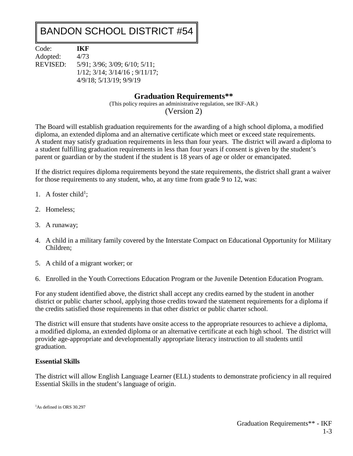# BANDON SCHOOL DISTRICT #54

Code: **IKF** Adopted: 4/73 REVISED: 5/91; 3/96; 3/09; 6/10; 5/11; 1/12; 3/14; 3/14/16 ; 9/11/17; 4/9/18; 5/13/19; 9/9/19

## **Graduation Requirements\*\***

(This policy requires an administrative regulation, see IKF-AR.) (Version 2)

The Board will establish graduation requirements for the awarding of a high school diploma, a modified diploma, an extended diploma and an alternative certificate which meet or exceed state requirements. A student may satisfy graduation requirements in less than four years. The district will award a diploma to a student fulfilling graduation requirements in less than four years if consent is given by the student's parent or guardian or by the student if the student is 18 years of age or older or emancipated.

If the district requires diploma requirements beyond the state requirements, the district shall grant a waiver for those requirements to any student, who, at any time from grade 9 to 12, was:

- 1. A foster child<sup>1</sup>;
- 2. Homeless;
- 3. A runaway;
- 4. A child in a military family covered by the Interstate Compact on Educational Opportunity for Military Children;
- 5. A child of a migrant worker; or
- 6. Enrolled in the Youth Corrections Education Program or the Juvenile Detention Education Program.

For any student identified above, the district shall accept any credits earned by the student in another district or public charter school, applying those credits toward the statement requirements for a diploma if the credits satisfied those requirements in that other district or public charter school.

The district will ensure that students have onsite access to the appropriate resources to achieve a diploma, a modified diploma, an extended diploma or an alternative certificate at each high school. The district will provide age-appropriate and developmentally appropriate literacy instruction to all students until graduation.

### **Essential Skills**

The district will allow English Language Learner (ELL) students to demonstrate proficiency in all required Essential Skills in the student's language of origin.

<sup>1</sup>As defined in ORS 30.297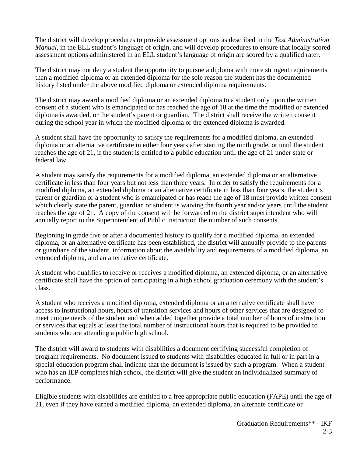The district will develop procedures to provide assessment options as described in the *Test Administration Manual*, in the ELL student's language of origin, and will develop procedures to ensure that locally scored assessment options administered in an ELL student's language of origin are scored by a qualified rater.

The district may not deny a student the opportunity to pursue a diploma with more stringent requirements than a modified diploma or an extended diploma for the sole reason the student has the documented history listed under the above modified diploma or extended diploma requirements.

The district may award a modified diploma or an extended diploma to a student only upon the written consent of a student who is emancipated or has reached the age of 18 at the time the modified or extended diploma is awarded, or the student's parent or guardian. The district shall receive the written consent during the school year in which the modified diploma or the extended diploma is awarded.

A student shall have the opportunity to satisfy the requirements for a modified diploma, an extended diploma or an alternative certificate in either four years after starting the ninth grade, or until the student reaches the age of 21, if the student is entitled to a public education until the age of 21 under state or federal law.

A student may satisfy the requirements for a modified diploma, an extended diploma or an alternative certificate in less than four years but not less than three years. In order to satisfy the requirements for a modified diploma, an extended diploma or an alternative certificate in less than four years, the student's parent or guardian or a student who is emancipated or has reach the age of 18 must provide written consent which clearly state the parent, guardian or student is waiving the fourth year and/or years until the student reaches the age of 21. A copy of the consent will be forwarded to the district superintendent who will annually report to the Superintendent of Public Instruction the number of such consents.

Beginning in grade five or after a documented history to qualify for a modified diploma, an extended diploma, or an alternative certificate has been established, the district will annually provide to the parents or guardians of the student, information about the availability and requirements of a modified diploma, an extended diploma, and an alternative certificate.

A student who qualifies to receive or receives a modified diploma, an extended diploma, or an alternative certificate shall have the option of participating in a high school graduation ceremony with the student's class.

A student who receives a modified diploma, extended diploma or an alternative certificate shall have access to instructional hours, hours of transition services and hours of other services that are designed to meet unique needs of the student and when added together provide a total number of hours of instruction or services that equals at least the total number of instructional hours that is required to be provided to students who are attending a public high school.

The district will award to students with disabilities a document certifying successful completion of program requirements. No document issued to students with disabilities educated in full or in part in a special education program shall indicate that the document is issued by such a program. When a student who has an IEP completes high school, the district will give the student an individualized summary of performance.

Eligible students with disabilities are entitled to a free appropriate public education (FAPE) until the age of 21, even if they have earned a modified diploma, an extended diploma, an alternate certificate or